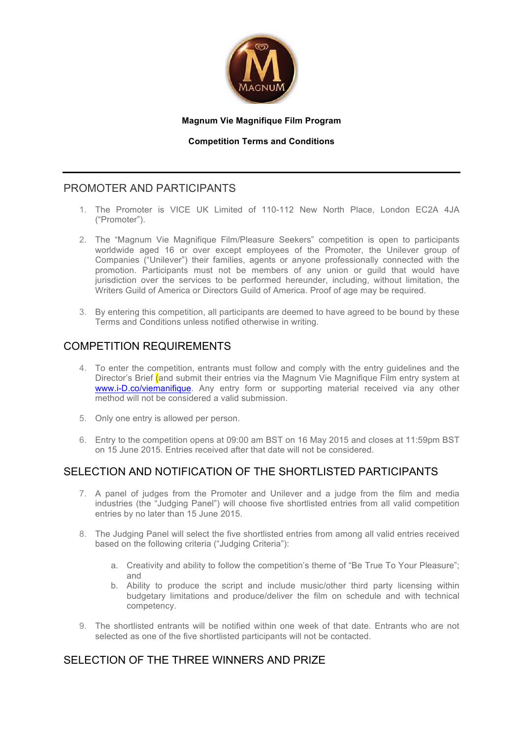

#### **Magnum Vie Magnifique Film Program**

#### **Competition Terms and Conditions**

## PROMOTER AND PARTICIPANTS

- 1. The Promoter is VICE UK Limited of 110-112 New North Place, London EC2A 4JA ("Promoter").
- 2. The "Magnum Vie Magnifique Film/Pleasure Seekers" competition is open to participants worldwide aged 16 or over except employees of the Promoter, the Unilever group of Companies ("Unilever") their families, agents or anyone professionally connected with the promotion. Participants must not be members of any union or guild that would have jurisdiction over the services to be performed hereunder, including, without limitation, the Writers Guild of America or Directors Guild of America. Proof of age may be required.
- 3. By entering this competition, all participants are deemed to have agreed to be bound by these Terms and Conditions unless notified otherwise in writing.

## COMPETITION REQUIREMENTS

- 4. To enter the competition, entrants must follow and comply with the entry guidelines and the Director's Brief (and submit their entries via the Magnum Vie Magnifique Film entry system at www.i-D.co/viemanifique. Any entry form or supporting material received via any other method will not be considered a valid submission.
- 5. Only one entry is allowed per person.
- 6. Entry to the competition opens at 09:00 am BST on 16 May 2015 and closes at 11:59pm BST on 15 June 2015. Entries received after that date will not be considered.

# SELECTION AND NOTIFICATION OF THE SHORTLISTED PARTICIPANTS

- 7. A panel of judges from the Promoter and Unilever and a judge from the film and media industries (the "Judging Panel") will choose five shortlisted entries from all valid competition entries by no later than 15 June 2015.
- 8. The Judging Panel will select the five shortlisted entries from among all valid entries received based on the following criteria ("Judging Criteria"):
	- a. Creativity and ability to follow the competition's theme of "Be True To Your Pleasure"; and
	- b. Ability to produce the script and include music/other third party licensing within budgetary limitations and produce/deliver the film on schedule and with technical competency.
- 9. The shortlisted entrants will be notified within one week of that date. Entrants who are not selected as one of the five shortlisted participants will not be contacted.

# SELECTION OF THE THREE WINNERS AND PRIZE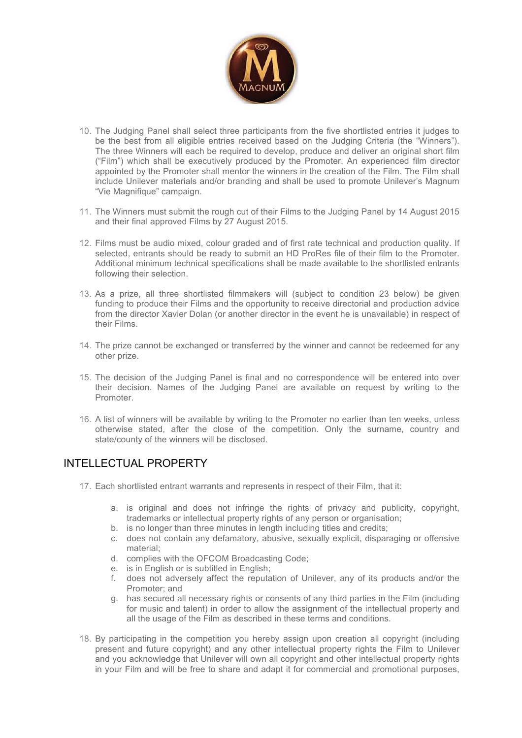

- 10. The Judging Panel shall select three participants from the five shortlisted entries it judges to be the best from all eligible entries received based on the Judging Criteria (the "Winners"). The three Winners will each be required to develop, produce and deliver an original short film ("Film") which shall be executively produced by the Promoter. An experienced film director appointed by the Promoter shall mentor the winners in the creation of the Film. The Film shall include Unilever materials and/or branding and shall be used to promote Unilever's Magnum "Vie Magnifique" campaign.
- 11. The Winners must submit the rough cut of their Films to the Judging Panel by 14 August 2015 and their final approved Films by 27 August 2015.
- 12. Films must be audio mixed, colour graded and of first rate technical and production quality. If selected, entrants should be ready to submit an HD ProRes file of their film to the Promoter. Additional minimum technical specifications shall be made available to the shortlisted entrants following their selection.
- 13. As a prize, all three shortlisted filmmakers will (subject to condition 23 below) be given funding to produce their Films and the opportunity to receive directorial and production advice from the director Xavier Dolan (or another director in the event he is unavailable) in respect of their Films.
- 14. The prize cannot be exchanged or transferred by the winner and cannot be redeemed for any other prize.
- 15. The decision of the Judging Panel is final and no correspondence will be entered into over their decision. Names of the Judging Panel are available on request by writing to the Promoter.
- 16. A list of winners will be available by writing to the Promoter no earlier than ten weeks, unless otherwise stated, after the close of the competition. Only the surname, country and state/county of the winners will be disclosed.

## INTELLECTUAL PROPERTY

- 17. Each shortlisted entrant warrants and represents in respect of their Film, that it:
	- a. is original and does not infringe the rights of privacy and publicity, copyright, trademarks or intellectual property rights of any person or organisation;
	- b. is no longer than three minutes in length including titles and credits;
	- c. does not contain any defamatory, abusive, sexually explicit, disparaging or offensive material;
	- d. complies with the OFCOM Broadcasting Code;
	- e. is in English or is subtitled in English;
	- f. does not adversely affect the reputation of Unilever, any of its products and/or the Promoter; and
	- g. has secured all necessary rights or consents of any third parties in the Film (including for music and talent) in order to allow the assignment of the intellectual property and all the usage of the Film as described in these terms and conditions.
- 18. By participating in the competition you hereby assign upon creation all copyright (including present and future copyright) and any other intellectual property rights the Film to Unilever and you acknowledge that Unilever will own all copyright and other intellectual property rights in your Film and will be free to share and adapt it for commercial and promotional purposes,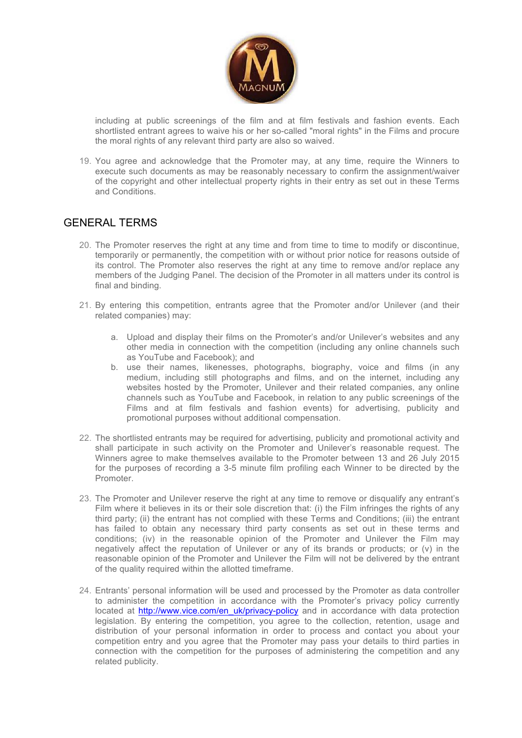

including at public screenings of the film and at film festivals and fashion events. Each shortlisted entrant agrees to waive his or her so-called "moral rights" in the Films and procure the moral rights of any relevant third party are also so waived.

19. You agree and acknowledge that the Promoter may, at any time, require the Winners to execute such documents as may be reasonably necessary to confirm the assignment/waiver of the copyright and other intellectual property rights in their entry as set out in these Terms and Conditions.

## GENERAL TERMS

- 20. The Promoter reserves the right at any time and from time to time to modify or discontinue, temporarily or permanently, the competition with or without prior notice for reasons outside of its control. The Promoter also reserves the right at any time to remove and/or replace any members of the Judging Panel. The decision of the Promoter in all matters under its control is final and binding.
- 21. By entering this competition, entrants agree that the Promoter and/or Unilever (and their related companies) may:
	- a. Upload and display their films on the Promoter's and/or Unilever's websites and any other media in connection with the competition (including any online channels such as YouTube and Facebook); and
	- b. use their names, likenesses, photographs, biography, voice and films (in any medium, including still photographs and films, and on the internet, including any websites hosted by the Promoter, Unilever and their related companies, any online channels such as YouTube and Facebook, in relation to any public screenings of the Films and at film festivals and fashion events) for advertising, publicity and promotional purposes without additional compensation.
- 22. The shortlisted entrants may be required for advertising, publicity and promotional activity and shall participate in such activity on the Promoter and Unilever's reasonable request. The Winners agree to make themselves available to the Promoter between 13 and 26 July 2015 for the purposes of recording a 3-5 minute film profiling each Winner to be directed by the Promoter.
- 23. The Promoter and Unilever reserve the right at any time to remove or disqualify any entrant's Film where it believes in its or their sole discretion that: (i) the Film infringes the rights of any third party; (ii) the entrant has not complied with these Terms and Conditions; (iii) the entrant has failed to obtain any necessary third party consents as set out in these terms and conditions; (iv) in the reasonable opinion of the Promoter and Unilever the Film may negatively affect the reputation of Unilever or any of its brands or products; or (v) in the reasonable opinion of the Promoter and Unilever the Film will not be delivered by the entrant of the quality required within the allotted timeframe.
- 24. Entrants' personal information will be used and processed by the Promoter as data controller to administer the competition in accordance with the Promoter's privacy policy currently located at http://www.vice.com/en\_uk/privacy-policy and in accordance with data protection legislation. By entering the competition, you agree to the collection, retention, usage and distribution of your personal information in order to process and contact you about your competition entry and you agree that the Promoter may pass your details to third parties in connection with the competition for the purposes of administering the competition and any related publicity.